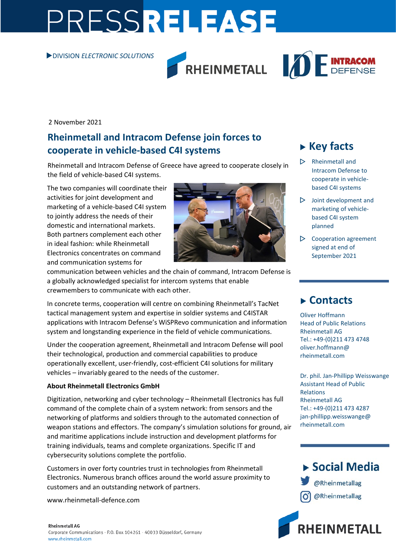# PRESSRELEASE

#### DIVISION *ELECTRONIC SOLUTIONS*





2 November 2021

### **Rheinmetall and Intracom Defense join forces to cooperate in vehicle-based C4I systems**

Rheinmetall and Intracom Defense of Greece have agreed to cooperate closely in the field of vehicle-based C4I systems.

The two companies will coordinate their activities for joint development and marketing of a vehicle-based C4I system to jointly address the needs of their domestic and international markets. Both partners complement each other in ideal fashion: while Rheinmetall Electronics concentrates on command and communication systems for



communication between vehicles and the chain of command, Intracom Defense is a globally acknowledged specialist for intercom systems that enable crewmembers to communicate with each other.

In concrete terms, cooperation will centre on combining Rheinmetall's TacNet tactical management system and expertise in soldier systems and C4ISTAR applications with Intracom Defense's WiSPRevo communication and information system and longstanding experience in the field of vehicle communications.

Under the cooperation agreement, Rheinmetall and Intracom Defense will pool their technological, production and commercial capabilities to produce operationally excellent, user-friendly, cost-efficient C4I solutions for military vehicles – invariably geared to the needs of the customer.

#### **About Rheinmetall Electronics GmbH**

Digitization, networking and cyber technology – Rheinmetall Electronics has full command of the complete chain of a system network: from sensors and the networking of platforms and soldiers through to the automated connection of weapon stations and effectors. The company's simulation solutions for ground, air and maritime applications include instruction and development platforms for training individuals, teams and complete organizations. Specific IT and cybersecurity solutions complete the portfolio.

Customers in over forty countries trust in technologies from Rheinmetall Electronics. Numerous branch offices around the world assure proximity to customers and an outstanding network of partners.

[www.rheinmetall-defence.com](http://www.rheinmetall-defence.com/)

## **Key facts**

- $\triangleright$  Rheinmetall and Intracom Defense to cooperate in vehiclebased C4I systems
- $\triangleright$  Joint development and marketing of vehiclebased C4I system planned
- $\triangleright$  Cooperation agreement signed at end of September 2021

## **Contacts**

Oliver Hoffmann Head of Public Relations Rheinmetall AG Tel.: +49-(0)211 473 4748 oliver.hoffmann@ rheinmetall.com

Dr. phil. Jan-Phillipp Weisswange Assistant Head of Public Relations Rheinmetall AG Tel.: +49-(0)211 473 4287 jan-phillipp.weisswange@ rheinmetall.com